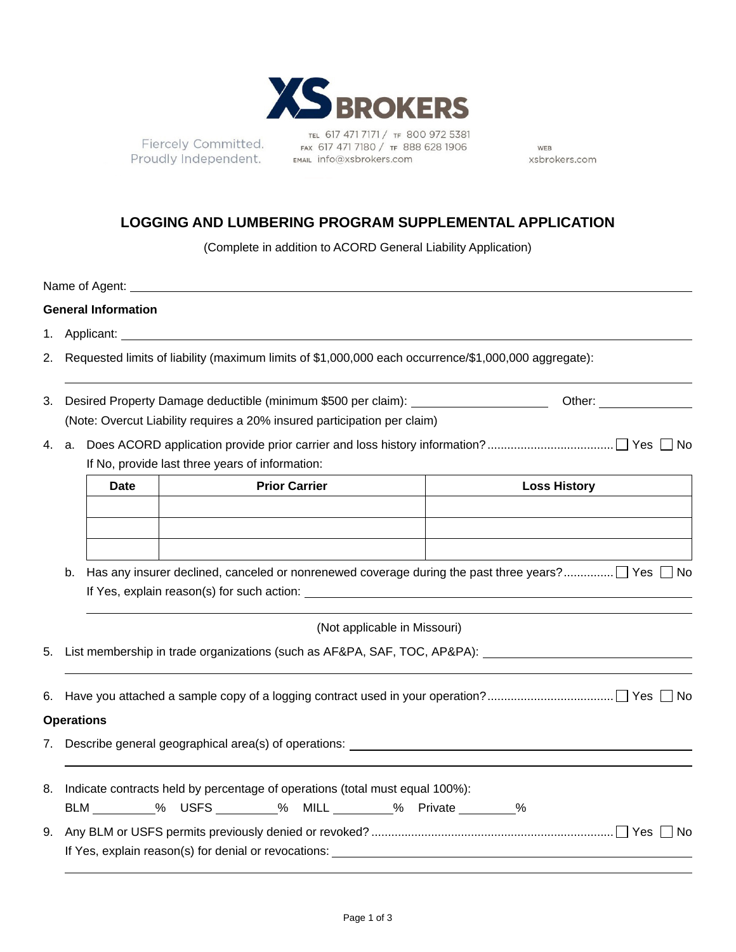

Fiercely Committed. Proudly Independent.

TEL 617 471 7171 / TF 800 972 5381 FAX 617 471 7180 / TF 888 628 1906 EMAIL info@xsbrokers.com

WEB xsbrokers.com

# **LOGGING AND LUMBERING PROGRAM SUPPLEMENTAL APPLICATION**

(Complete in addition to ACORD General Liability Application)

|                                                                                                                |                                                                              |                                                                                                      |  | Name of Agent: <u>contract and a series of the series of the series of the series of the series of the series of the series of the series of the series of the series of the series of the series of the series of the series of</u> |                      |  |  |                              |                                                                                   |                     |  |  |
|----------------------------------------------------------------------------------------------------------------|------------------------------------------------------------------------------|------------------------------------------------------------------------------------------------------|--|--------------------------------------------------------------------------------------------------------------------------------------------------------------------------------------------------------------------------------------|----------------------|--|--|------------------------------|-----------------------------------------------------------------------------------|---------------------|--|--|
|                                                                                                                |                                                                              | <b>General Information</b>                                                                           |  |                                                                                                                                                                                                                                      |                      |  |  |                              |                                                                                   |                     |  |  |
|                                                                                                                |                                                                              |                                                                                                      |  |                                                                                                                                                                                                                                      |                      |  |  |                              |                                                                                   |                     |  |  |
| 2.                                                                                                             |                                                                              | Requested limits of liability (maximum limits of \$1,000,000 each occurrence/\$1,000,000 aggregate): |  |                                                                                                                                                                                                                                      |                      |  |  |                              |                                                                                   |                     |  |  |
| 3.                                                                                                             |                                                                              |                                                                                                      |  |                                                                                                                                                                                                                                      |                      |  |  |                              | Desired Property Damage deductible (minimum \$500 per claim): ___________________ |                     |  |  |
|                                                                                                                | (Note: Overcut Liability requires a 20% insured participation per claim)     |                                                                                                      |  |                                                                                                                                                                                                                                      |                      |  |  |                              |                                                                                   |                     |  |  |
| 4.                                                                                                             |                                                                              |                                                                                                      |  |                                                                                                                                                                                                                                      |                      |  |  |                              |                                                                                   |                     |  |  |
|                                                                                                                | If No, provide last three years of information:                              |                                                                                                      |  |                                                                                                                                                                                                                                      |                      |  |  |                              |                                                                                   |                     |  |  |
|                                                                                                                |                                                                              | <b>Date</b>                                                                                          |  |                                                                                                                                                                                                                                      | <b>Prior Carrier</b> |  |  |                              |                                                                                   | <b>Loss History</b> |  |  |
|                                                                                                                |                                                                              |                                                                                                      |  |                                                                                                                                                                                                                                      |                      |  |  |                              |                                                                                   |                     |  |  |
|                                                                                                                |                                                                              |                                                                                                      |  |                                                                                                                                                                                                                                      |                      |  |  |                              |                                                                                   |                     |  |  |
|                                                                                                                |                                                                              |                                                                                                      |  |                                                                                                                                                                                                                                      |                      |  |  |                              |                                                                                   |                     |  |  |
| b. Has any insurer declined, canceled or nonrenewed coverage during the past three years? $\Box$ Yes $\Box$ No |                                                                              |                                                                                                      |  |                                                                                                                                                                                                                                      |                      |  |  |                              |                                                                                   |                     |  |  |
|                                                                                                                |                                                                              |                                                                                                      |  |                                                                                                                                                                                                                                      |                      |  |  |                              |                                                                                   |                     |  |  |
|                                                                                                                |                                                                              |                                                                                                      |  |                                                                                                                                                                                                                                      |                      |  |  |                              |                                                                                   |                     |  |  |
|                                                                                                                |                                                                              |                                                                                                      |  |                                                                                                                                                                                                                                      |                      |  |  | (Not applicable in Missouri) |                                                                                   |                     |  |  |
|                                                                                                                |                                                                              |                                                                                                      |  |                                                                                                                                                                                                                                      |                      |  |  |                              |                                                                                   |                     |  |  |
|                                                                                                                |                                                                              |                                                                                                      |  |                                                                                                                                                                                                                                      |                      |  |  |                              |                                                                                   |                     |  |  |
|                                                                                                                |                                                                              |                                                                                                      |  |                                                                                                                                                                                                                                      |                      |  |  |                              |                                                                                   |                     |  |  |
|                                                                                                                |                                                                              | <b>Operations</b>                                                                                    |  |                                                                                                                                                                                                                                      |                      |  |  |                              |                                                                                   |                     |  |  |
|                                                                                                                |                                                                              |                                                                                                      |  |                                                                                                                                                                                                                                      |                      |  |  |                              |                                                                                   |                     |  |  |
|                                                                                                                |                                                                              |                                                                                                      |  |                                                                                                                                                                                                                                      |                      |  |  |                              |                                                                                   |                     |  |  |
| 8.                                                                                                             | Indicate contracts held by percentage of operations (total must equal 100%): |                                                                                                      |  |                                                                                                                                                                                                                                      |                      |  |  |                              |                                                                                   |                     |  |  |
|                                                                                                                |                                                                              |                                                                                                      |  | BLM _________% USFS _________% MILL ________% Private ________%                                                                                                                                                                      |                      |  |  |                              |                                                                                   |                     |  |  |
|                                                                                                                |                                                                              |                                                                                                      |  |                                                                                                                                                                                                                                      |                      |  |  |                              |                                                                                   |                     |  |  |
| 9.                                                                                                             | If Yes, explain reason(s) for denial or revocations:                         |                                                                                                      |  |                                                                                                                                                                                                                                      |                      |  |  |                              |                                                                                   |                     |  |  |
|                                                                                                                |                                                                              |                                                                                                      |  |                                                                                                                                                                                                                                      |                      |  |  |                              |                                                                                   |                     |  |  |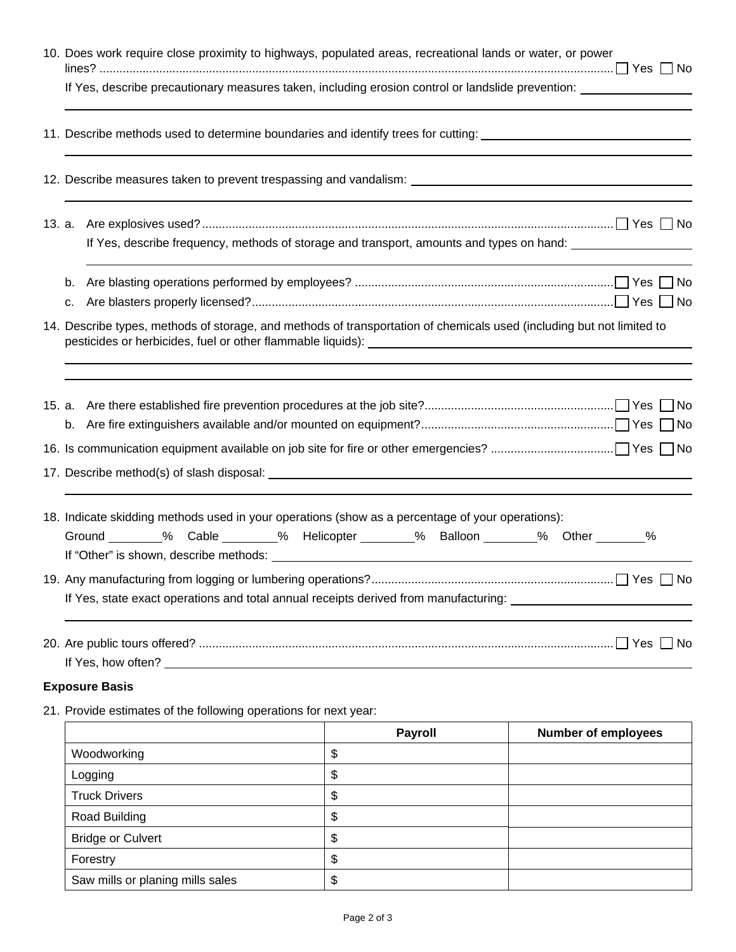| 10. Does work require close proximity to highways, populated areas, recreational lands or water, or power                                                                                 |                |                            |  |  |  |  |  |
|-------------------------------------------------------------------------------------------------------------------------------------------------------------------------------------------|----------------|----------------------------|--|--|--|--|--|
| If Yes, describe precautionary measures taken, including erosion control or landslide prevention:                                                                                         |                |                            |  |  |  |  |  |
| 11. Describe methods used to determine boundaries and identify trees for cutting: ____________________________                                                                            |                |                            |  |  |  |  |  |
| 12. Describe measures taken to prevent trespassing and vandalism: __________________________________                                                                                      |                |                            |  |  |  |  |  |
|                                                                                                                                                                                           |                |                            |  |  |  |  |  |
| If Yes, describe frequency, methods of storage and transport, amounts and types on hand:                                                                                                  |                |                            |  |  |  |  |  |
|                                                                                                                                                                                           |                |                            |  |  |  |  |  |
| 14. Describe types, methods of storage, and methods of transportation of chemicals used (including but not limited to                                                                     |                |                            |  |  |  |  |  |
|                                                                                                                                                                                           |                |                            |  |  |  |  |  |
|                                                                                                                                                                                           |                |                            |  |  |  |  |  |
|                                                                                                                                                                                           |                |                            |  |  |  |  |  |
| 18. Indicate skidding methods used in your operations (show as a percentage of your operations):<br>Ground _______ % Cable _______ % Helicopter ______ % Balloon _______ % Other ______ % |                |                            |  |  |  |  |  |
|                                                                                                                                                                                           |                |                            |  |  |  |  |  |
| If Yes, state exact operations and total annual receipts derived from manufacturing:                                                                                                      |                |                            |  |  |  |  |  |
|                                                                                                                                                                                           |                |                            |  |  |  |  |  |
| <b>Exposure Basis</b>                                                                                                                                                                     |                |                            |  |  |  |  |  |
| 21. Provide estimates of the following operations for next year:                                                                                                                          |                |                            |  |  |  |  |  |
|                                                                                                                                                                                           | <b>Payroll</b> | <b>Number of employees</b> |  |  |  |  |  |
| Woodworking                                                                                                                                                                               | \$             |                            |  |  |  |  |  |
| Logging                                                                                                                                                                                   | \$             |                            |  |  |  |  |  |
| <b>Truck Drivers</b>                                                                                                                                                                      | \$             |                            |  |  |  |  |  |
| Road Building                                                                                                                                                                             | \$             |                            |  |  |  |  |  |
| <b>Bridge or Culvert</b>                                                                                                                                                                  | \$             |                            |  |  |  |  |  |
| Forestry                                                                                                                                                                                  | \$             |                            |  |  |  |  |  |
| Saw mills or planing mills sales                                                                                                                                                          | \$             |                            |  |  |  |  |  |